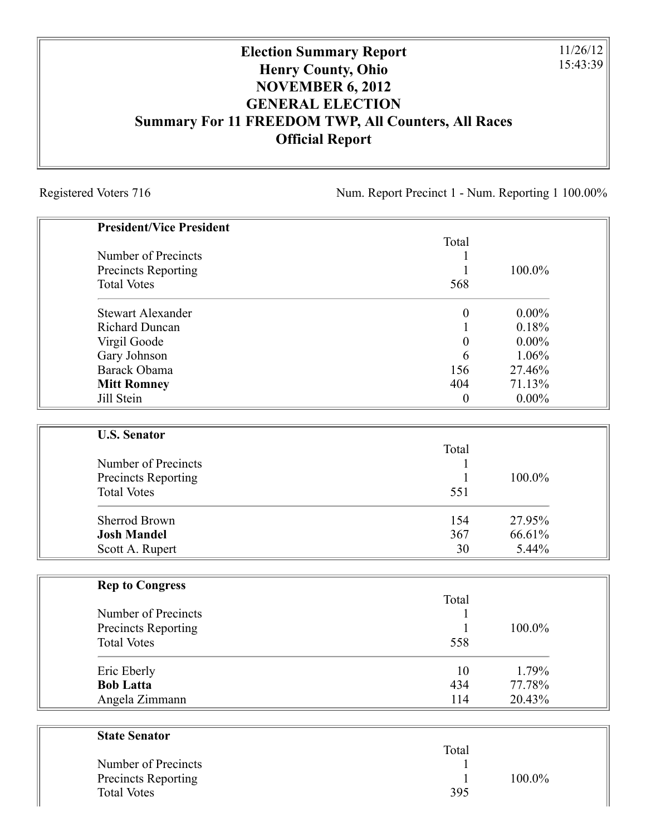## **Election Summary Report Henry County, Ohio NOVEMBER 6, 2012 GENERAL ELECTION Summary For 11 FREEDOM TWP, All Counters, All Races Official Report**

Registered Voters 716 Num. Report Precinct 1 - Num. Reporting 1 100.00%

11/26/12 15:43:39

| <b>President/Vice President</b> |                  |          |
|---------------------------------|------------------|----------|
|                                 | Total            |          |
| Number of Precincts             |                  |          |
| Precincts Reporting             | 1                | 100.0%   |
| <b>Total Votes</b>              | 568              |          |
| <b>Stewart Alexander</b>        | $\boldsymbol{0}$ | $0.00\%$ |
| <b>Richard Duncan</b>           |                  | 0.18%    |
| Virgil Goode                    | $\boldsymbol{0}$ | $0.00\%$ |
| Gary Johnson                    | 6                | 1.06%    |
| Barack Obama                    | 156              | 27.46%   |
| <b>Mitt Romney</b>              | 404              | 71.13%   |
| Jill Stein                      | $\boldsymbol{0}$ | $0.00\%$ |
| <b>U.S. Senator</b>             |                  |          |
|                                 | Total            |          |
| Number of Precincts             |                  |          |
| Precincts Reporting             | 1                | 100.0%   |
| <b>Total Votes</b>              | 551              |          |
| <b>Sherrod Brown</b>            | 154              | 27.95%   |
| <b>Josh Mandel</b>              | 367              | 66.61%   |
| Scott A. Rupert                 | 30               | 5.44%    |
|                                 |                  |          |
| <b>Rep to Congress</b>          | Total            |          |
| Number of Precincts             |                  |          |
| Precincts Reporting             | 1                | 100.0%   |
| <b>Total Votes</b>              | 558              |          |
| Eric Eberly                     | 10               | 1.79%    |
| <b>Bob Latta</b>                | 434              | 77.78%   |
| Angela Zimmann                  | 114              | 20.43%   |
| <b>State Senator</b>            |                  |          |
|                                 | Total            |          |
| Number of Precincts             |                  |          |

Precincts Reporting 1 100.0%

Total Votes 395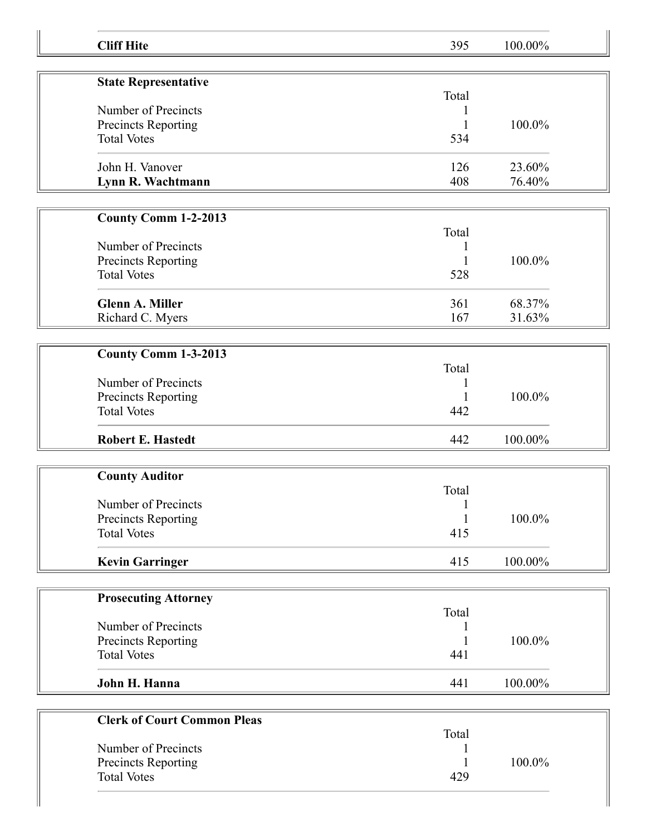| <b>Cliff Hite</b>                                | 395                          | 100.00% |  |
|--------------------------------------------------|------------------------------|---------|--|
|                                                  |                              |         |  |
| <b>State Representative</b>                      | Total                        |         |  |
| Number of Precincts                              |                              |         |  |
| Precincts Reporting                              | 1                            | 100.0%  |  |
| <b>Total Votes</b>                               | 534                          |         |  |
| John H. Vanover                                  | 126                          | 23.60%  |  |
| Lynn R. Wachtmann                                | 408                          | 76.40%  |  |
|                                                  |                              |         |  |
| <b>County Comm 1-2-2013</b>                      |                              |         |  |
|                                                  | Total                        |         |  |
| Number of Precincts                              | 1                            |         |  |
| Precincts Reporting                              | 1                            | 100.0%  |  |
| <b>Total Votes</b>                               | 528                          |         |  |
| <b>Glenn A. Miller</b>                           | 361                          | 68.37%  |  |
| Richard C. Myers                                 | 167                          | 31.63%  |  |
|                                                  |                              |         |  |
| County Comm 1-3-2013                             |                              |         |  |
|                                                  | Total                        |         |  |
| Number of Precincts                              |                              |         |  |
| Precincts Reporting                              |                              | 100.0%  |  |
| <b>Total Votes</b>                               | 442                          |         |  |
| <b>Robert E. Hastedt</b>                         | 442                          | 100.00% |  |
|                                                  |                              |         |  |
| <b>County Auditor</b>                            |                              |         |  |
|                                                  | Total                        |         |  |
| Number of Precincts                              | $\mathbf{1}$<br>$\mathbf{1}$ | 100.0%  |  |
| <b>Precincts Reporting</b><br><b>Total Votes</b> | 415                          |         |  |
|                                                  |                              |         |  |
| <b>Kevin Garringer</b>                           | 415                          | 100.00% |  |
|                                                  |                              |         |  |
| <b>Prosecuting Attorney</b>                      |                              |         |  |
| Number of Precincts                              | Total                        |         |  |
| Precincts Reporting                              |                              | 100.0%  |  |
| <b>Total Votes</b>                               | 441                          |         |  |
|                                                  |                              |         |  |
| John H. Hanna                                    | 441                          | 100.00% |  |
|                                                  |                              |         |  |
| <b>Clerk of Court Common Pleas</b>               | Total                        |         |  |
| Number of Precincts                              |                              |         |  |
| Precincts Reporting                              |                              | 100.0%  |  |
| <b>Total Votes</b>                               | 429                          |         |  |
|                                                  |                              |         |  |
|                                                  |                              |         |  |

Ш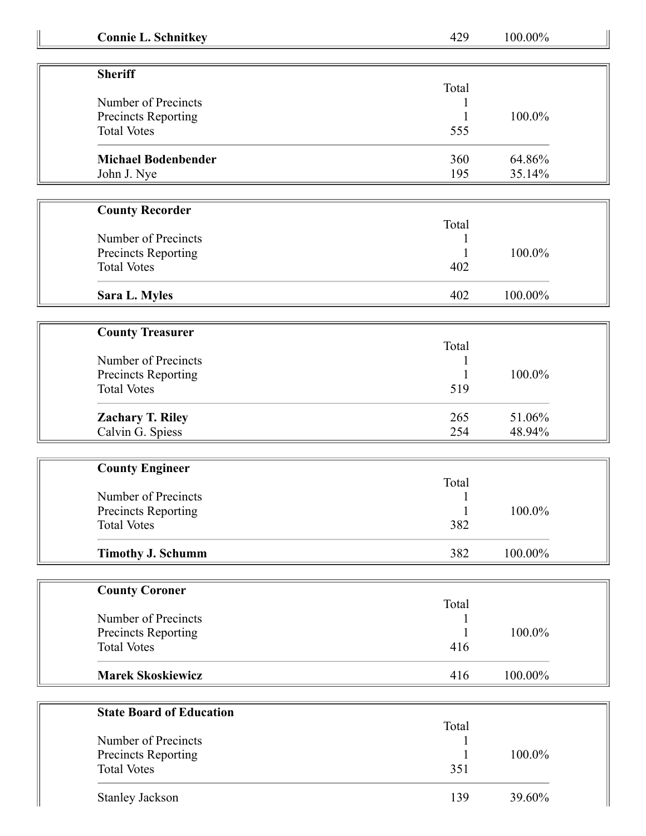| <b>Connie L. Schnitkey</b> | 429          | 100.00% |
|----------------------------|--------------|---------|
|                            |              |         |
| <b>Sheriff</b>             | Total        |         |
| Number of Precincts        | 1            |         |
| Precincts Reporting        | 1            | 100.0%  |
| <b>Total Votes</b>         | 555          |         |
|                            |              |         |
| <b>Michael Bodenbender</b> | 360          | 64.86%  |
| John J. Nye                | 195          | 35.14%  |
|                            |              |         |
| <b>County Recorder</b>     |              |         |
|                            | Total        |         |
| Number of Precincts        |              |         |
| Precincts Reporting        | 1            | 100.0%  |
| <b>Total Votes</b>         | 402          |         |
|                            |              |         |
| Sara L. Myles              | 402          | 100.00% |
|                            |              |         |
| <b>County Treasurer</b>    | Total        |         |
| Number of Precincts        |              |         |
| Precincts Reporting        | 1<br>1       | 100.0%  |
| <b>Total Votes</b>         | 519          |         |
|                            |              |         |
| <b>Zachary T. Riley</b>    | 265          | 51.06%  |
| Calvin G. Spiess           | 254          | 48.94%  |
|                            |              |         |
| <b>County Engineer</b>     |              |         |
|                            | Total        |         |
| Number of Precincts        |              |         |
| <b>Precincts Reporting</b> | $\mathbf{1}$ | 100.0%  |
| <b>Total Votes</b>         | 382          |         |
| <b>Timothy J. Schumm</b>   | 382          | 100.00% |
|                            |              |         |
| <b>County Coroner</b>      |              |         |
|                            | Total        |         |
| Number of Precincts        |              |         |
| Precincts Reporting        | 1            | 100.0%  |
| <b>Total Votes</b>         | 416          |         |
| <b>Marek Skoskiewicz</b>   | 416          | 100.00% |
|                            |              |         |

| <b>State Board of Education</b> |       |        |
|---------------------------------|-------|--------|
|                                 | Total |        |
| Number of Precincts             |       |        |
| <b>Precincts Reporting</b>      |       | 100.0% |
| <b>Total Votes</b>              | 351   |        |
| <b>Stanley Jackson</b>          | 139   | 39.60% |

 $\overline{\mathbf{r}}$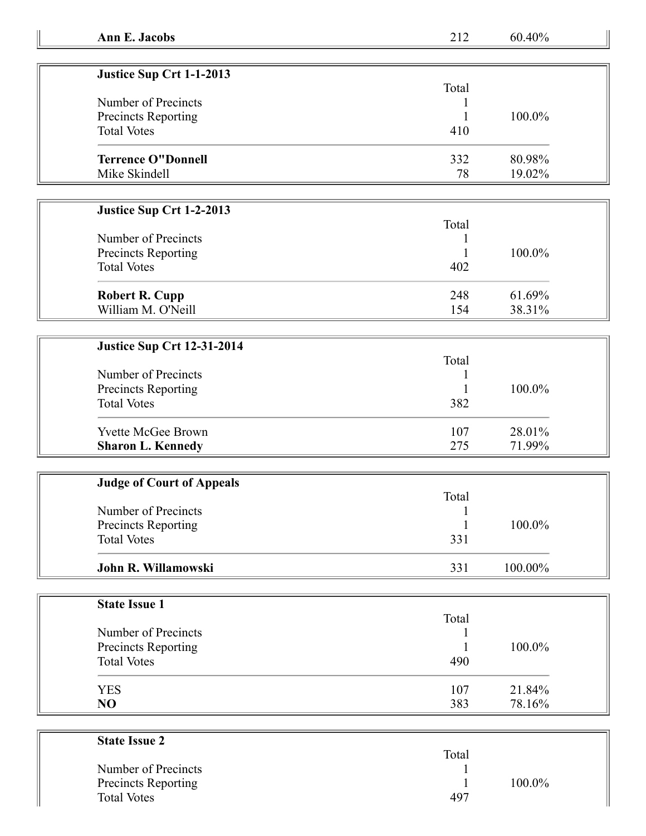| Justice Sup Crt 1-1-2013   |       |        |
|----------------------------|-------|--------|
|                            | Total |        |
| Number of Precincts        |       |        |
| <b>Precincts Reporting</b> |       | 100.0% |
| <b>Total Votes</b>         | 410   |        |
| <b>Terrence O"Donnell</b>  | 332   | 80.98% |
| Mike Skindell              | 78    | 19.02% |

## **Justice Sup Crt 1-2-2013**

| Number of Precincts<br>Precincts Reporting<br><b>Total Votes</b> | Total<br>402 | $100.0\%$ |
|------------------------------------------------------------------|--------------|-----------|
| <b>Robert R. Cupp</b>                                            | 248          | 61.69%    |
| William M. O'Neill                                               | 154          | 38.31%    |

## **Justice Sup Crt 12-31-2014**

| Number of Precincts<br><b>Precincts Reporting</b><br><b>Total Votes</b> | Total<br>382 | $100.0\%$ |
|-------------------------------------------------------------------------|--------------|-----------|
| <b>Yvette McGee Brown</b>                                               | 107          | 28.01%    |
| <b>Sharon L. Kennedy</b>                                                | 275          | 71.99%    |

| <b>Judge of Court of Appeals</b> |       |            |  |
|----------------------------------|-------|------------|--|
|                                  | Total |            |  |
| Number of Precincts              |       |            |  |
| Precincts Reporting              |       | $100.0\%$  |  |
| <b>Total Votes</b>               | 331   |            |  |
| John R. Willamowski              | 331   | $100.00\%$ |  |

| <b>State Issue 1</b> |       |        |
|----------------------|-------|--------|
|                      | Total |        |
| Number of Precincts  |       |        |
| Precincts Reporting  |       | 100.0% |
| <b>Total Votes</b>   | 490   |        |
| <b>YES</b>           | 107   | 21.84% |
| NO                   | 383   | 78.16% |

| <b>State Issue 2</b>       |       |        |
|----------------------------|-------|--------|
|                            | Total |        |
| Number of Precincts        |       |        |
| <b>Precincts Reporting</b> |       | 100.0% |
| <b>Total Votes</b>         | 497   |        |